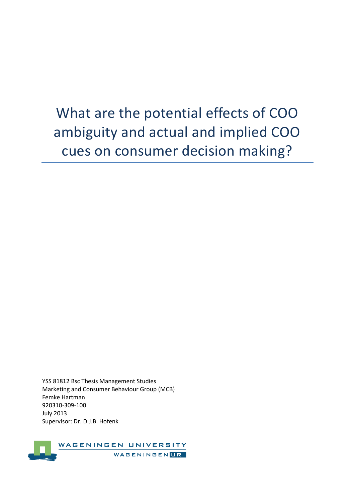# What are the potential effects of COO ambiguity and actual and implied COO cues on consumer decision making?

YSS 81812 Bsc Thesis Management Studies Marketing and Consumer Behaviour Group (MCB) Femke Hartman 920310-309-100 July 2013 Supervisor: Dr. D.J.B. Hofenk

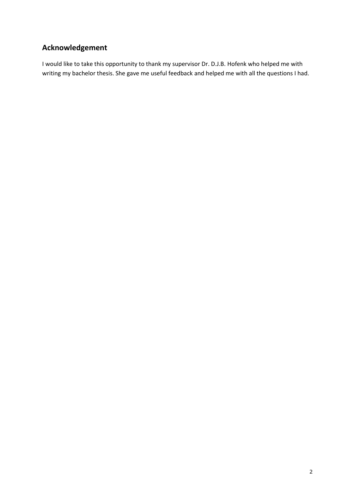# **Acknowledgement**

I would like to take this opportunity to thank my supervisor Dr. D.J.B. Hofenk who helped me with writing my bachelor thesis. She gave me useful feedback and helped me with all the questions I had.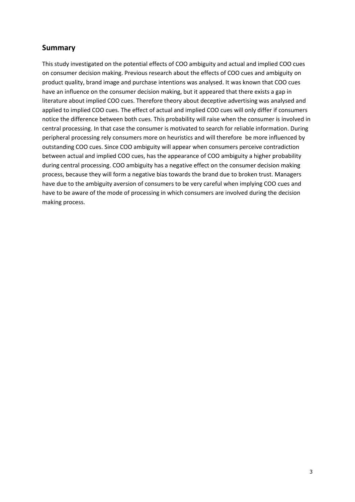## **Summary**

This study investigated on the potential effects of COO ambiguity and actual and implied COO cues on consumer decision making. Previous research about the effects of COO cues and ambiguity on product quality, brand image and purchase intentions was analysed. It was known that COO cues have an influence on the consumer decision making, but it appeared that there exists a gap in literature about implied COO cues. Therefore theory about deceptive advertising was analysed and applied to implied COO cues. The effect of actual and implied COO cues will only differ if consumers notice the difference between both cues. This probability will raise when the consumer is involved in central processing. In that case the consumer is motivated to search for reliable information. During peripheral processing rely consumers more on heuristics and will therefore be more influenced by outstanding COO cues. Since COO ambiguity will appear when consumers perceive contradiction between actual and implied COO cues, has the appearance of COO ambiguity a higher probability during central processing. COO ambiguity has a negative effect on the consumer decision making process, because they will form a negative bias towards the brand due to broken trust. Managers have due to the ambiguity aversion of consumers to be very careful when implying COO cues and have to be aware of the mode of processing in which consumers are involved during the decision making process.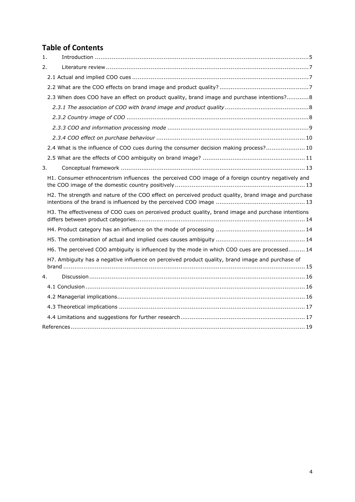# **Table of Contents**

| $\mathbf{1}$ . |                                                                                                      |  |
|----------------|------------------------------------------------------------------------------------------------------|--|
| 2.             |                                                                                                      |  |
|                |                                                                                                      |  |
|                |                                                                                                      |  |
|                | 2.3 When does COO have an effect on product quality, brand image and purchase intentions? 8          |  |
|                |                                                                                                      |  |
|                |                                                                                                      |  |
|                |                                                                                                      |  |
|                |                                                                                                      |  |
|                | 2.4 What is the influence of COO cues during the consumer decision making process? 10                |  |
|                |                                                                                                      |  |
| 3.             |                                                                                                      |  |
|                | H1. Consumer ethnocentrism influences the perceived COO image of a foreign country negatively and    |  |
|                | H2. The strength and nature of the COO effect on perceived product quality, brand image and purchase |  |
|                | H3. The effectiveness of COO cues on perceived product quality, brand image and purchase intentions  |  |
|                |                                                                                                      |  |
|                |                                                                                                      |  |
|                | H6. The perceived COO ambiguity is influenced by the mode in which COO cues are processed 14         |  |
|                | H7. Ambiguity has a negative influence on perceived product quality, brand image and purchase of     |  |
| 4.             |                                                                                                      |  |
|                |                                                                                                      |  |
|                |                                                                                                      |  |
|                |                                                                                                      |  |
|                |                                                                                                      |  |
|                |                                                                                                      |  |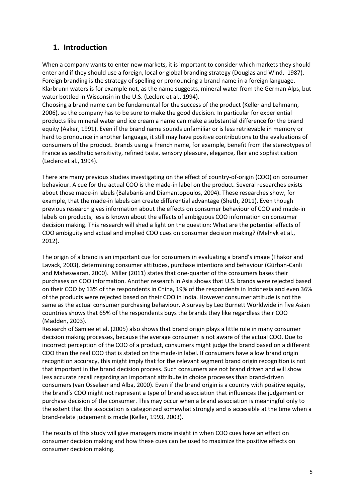# <span id="page-4-0"></span>**1. Introduction**

When a company wants to enter new markets, it is important to consider which markets they should enter and if they should use a foreign, local or global branding strategy (Douglas and Wind, 1987). Foreign branding is the strategy of spelling or pronouncing a brand name in a foreign language. Klarbrunn waters is for example not, as the name suggests, mineral water from the German Alps, but water bottled in Wisconsin in the U.S. (Leclerc et al., 1994).

Choosing a brand name can be fundamental for the success of the product (Keller and Lehmann, 2006), so the company has to be sure to make the good decision. In particular for experiential products like mineral water and ice cream a name can make a substantial difference for the brand equity (Aaker, 1991). Even if the brand name sounds unfamiliar or is less retrievable in memory or hard to pronounce in another language, it still may have positive contributions to the evaluations of consumers of the product. Brands using a French name, for example, benefit from the stereotypes of France as aesthetic sensitivity, refined taste, sensory pleasure, elegance, flair and sophistication (Leclerc et al., 1994).

There are many previous studies investigating on the effect of country-of-origin (COO) on consumer behaviour. A cue for the actual COO is the made-in label on the product. Several researches exists about those made-in labels (Balabanis and Diamantopoulos, 2004). These researches show, for example, that the made-in labels can create differential advantage (Sheth, 2011). Even though previous research gives information about the effects on consumer behaviour of COO and made-in labels on products, less is known about the effects of ambiguous COO information on consumer decision making. This research will shed a light on the question: What are the potential effects of COO ambiguity and actual and implied COO cues on consumer decision making? (Melnyk et al., 2012).

The origin of a brand is an important cue for consumers in evaluating a brand's image (Thakor and Lavack, 2003), determining consumer attitudes, purchase intentions and behaviour (Gürhan-Canli and Maheswaran, 2000). Miller (2011) states that one-quarter of the consumers bases their purchases on COO information. Another research in Asia shows that U.S. brands were rejected based on their COO by 13% of the respondents in China, 19% of the respondents in Indonesia and even 36% of the products were rejected based on their COO in India. However consumer attitude is not the same as the actual consumer purchasing behaviour. A survey by Leo Burnett Worldwide in five Asian countries shows that 65% of the respondents buys the brands they like regardless their COO (Madden, 2003).

Research of Samiee et al. (2005) also shows that brand origin plays a little role in many consumer decision making processes, because the average consumer is not aware of the actual COO. Due to incorrect perception of the COO of a product, consumers might judge the brand based on a different COO than the real COO that is stated on the made-in label. If consumers have a low brand origin recognition accuracy, this might imply that for the relevant segment brand origin recognition is not that important in the brand decision process. Such consumers are not brand driven and will show less accurate recall regarding an important attribute in choice processes than brand-driven consumers (van Osselaer and Alba, 2000). Even if the brand origin is a country with positive equity, the brand's COO might not represent a type of brand association that influences the judgement or purchase decision of the consumer. This may occur when a brand association is meaningful only to the extent that the association is categorized somewhat strongly and is accessible at the time when a brand-relate judgement is made (Keller, 1993, 2003).

The results of this study will give managers more insight in when COO cues have an effect on consumer decision making and how these cues can be used to maximize the positive effects on consumer decision making.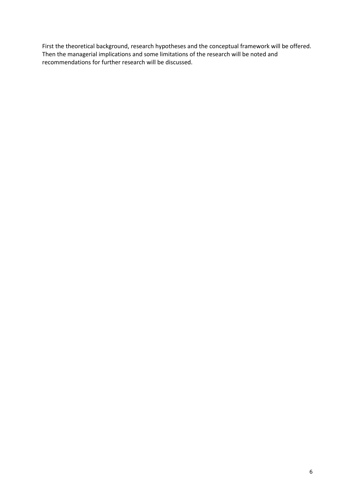First the theoretical background, research hypotheses and the conceptual framework will be offered. Then the managerial implications and some limitations of the research will be noted and recommendations for further research will be discussed.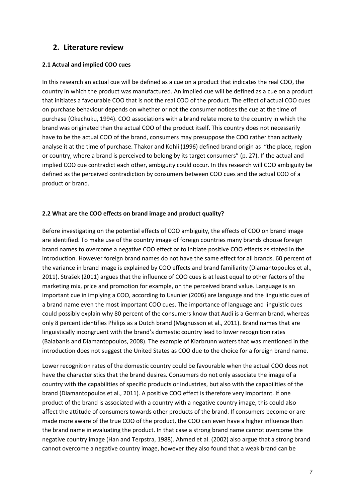## <span id="page-6-0"></span>**2. Literature review**

## <span id="page-6-1"></span>**2.1 Actual and implied COO cues**

In this research an actual cue will be defined as a cue on a product that indicates the real COO, the country in which the product was manufactured. An implied cue will be defined as a cue on a product that initiates a favourable COO that is not the real COO of the product. The effect of actual COO cues on purchase behaviour depends on whether or not the consumer notices the cue at the time of purchase (Okechuku, 1994). COO associations with a brand relate more to the country in which the brand was originated than the actual COO of the product itself. This country does not necessarily have to be the actual COO of the brand, consumers may presuppose the COO rather than actively analyse it at the time of purchase. Thakor and Kohli (1996) defined brand origin as "the place, region or country, where a brand is perceived to belong by its target consumers" (p. 27). If the actual and implied COO cue contradict each other, ambiguity could occur. In this research will COO ambiguity be defined as the perceived contradiction by consumers between COO cues and the actual COO of a product or brand.

#### <span id="page-6-2"></span>**2.2 What are the COO effects on brand image and product quality?**

Before investigating on the potential effects of COO ambiguity, the effects of COO on brand image are identified. To make use of the country image of foreign countries many brands choose foreign brand names to overcome a negative COO effect or to initiate positive COO effects as stated in the introduction. However foreign brand names do not have the same effect for all brands. 60 percent of the variance in brand image is explained by COO effects and brand familiarity (Diamantopoulos et al., 2011). Strašek (2011) argues that the influence of COO cues is at least equal to other factors of the marketing mix, price and promotion for example, on the perceived brand value. Language is an important cue in implying a COO, according to Usunier (2006) are language and the linguistic cues of a brand name even the most important COO cues. The importance of language and linguistic cues could possibly explain why 80 percent of the consumers know that Audi is a German brand, whereas only 8 percent identifies Philips as a Dutch brand (Magnusson et al., 2011). Brand names that are linguistically incongruent with the brand's domestic country lead to lower recognition rates (Balabanis and Diamantopoulos, 2008). The example of Klarbrunn waters that was mentioned in the introduction does not suggest the United States as COO due to the choice for a foreign brand name.

Lower recognition rates of the domestic country could be favourable when the actual COO does not have the characteristics that the brand desires. Consumers do not only associate the image of a country with the capabilities of specific products or industries, but also with the capabilities of the brand (Diamantopoulos et al., 2011). A positive COO effect is therefore very important. If one product of the brand is associated with a country with a negative country image, this could also affect the attitude of consumers towards other products of the brand. If consumers become or are made more aware of the true COO of the product, the COO can even have a higher influence than the brand name in evaluating the product. In that case a strong brand name cannot overcome the negative country image (Han and Terpstra, 1988). Ahmed et al. (2002) also argue that a strong brand cannot overcome a negative country image, however they also found that a weak brand can be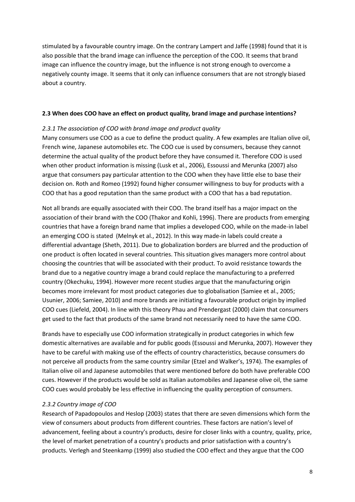stimulated by a favourable country image. On the contrary Lampert and Jaffe (1998) found that it is also possible that the brand image can influence the perception of the COO. It seems that brand image can influence the country image, but the influence is not strong enough to overcome a negatively county image. It seems that it only can influence consumers that are not strongly biased about a country.

## <span id="page-7-0"></span>**2.3 When does COO have an effect on product quality, brand image and purchase intentions?**

#### <span id="page-7-1"></span>*2.3.1 The association of COO with brand image and product quality*

Many consumers use COO as a cue to define the product quality. A few examples are Italian olive oil, French wine, Japanese automobiles etc. The COO cue is used by consumers, because they cannot determine the actual quality of the product before they have consumed it. Therefore COO is used when other product information is missing (Lusk et al., 2006), Essoussi and Merunka (2007) also argue that consumers pay particular attention to the COO when they have little else to base their decision on. Roth and Romeo (1992) found higher consumer willingness to buy for products with a COO that has a good reputation than the same product with a COO that has a bad reputation.

Not all brands are equally associated with their COO. The brand itself has a major impact on the association of their brand with the COO (Thakor and Kohli, 1996). There are products from emerging countries that have a foreign brand name that implies a developed COO, while on the made-in label an emerging COO is stated (Melnyk et al., 2012). In this way made-in labels could create a differential advantage (Sheth, 2011). Due to globalization borders are blurred and the production of one product is often located in several countries. This situation gives managers more control about choosing the countries that will be associated with their product. To avoid resistance towards the brand due to a negative country image a brand could replace the manufacturing to a preferred country (Okechuku, 1994). However more recent studies argue that the manufacturing origin becomes more irrelevant for most product categories due to globalisation (Samiee et al., 2005; Usunier, 2006; Samiee, 2010) and more brands are initiating a favourable product origin by implied COO cues (Liefeld, 2004). In line with this theory Phau and Prendergast (2000) claim that consumers get used to the fact that products of the same brand not necessarily need to have the same COO.

Brands have to especially use COO information strategically in product categories in which few domestic alternatives are available and for public goods (Essoussi and Merunka, 2007). However they have to be careful with making use of the effects of country characteristics, because consumers do not perceive all products from the same country similar (Etzel and Walker's, 1974). The examples of Italian olive oil and Japanese automobiles that were mentioned before do both have preferable COO cues. However if the products would be sold as Italian automobiles and Japanese olive oil, the same COO cues would probably be less effective in influencing the quality perception of consumers.

## <span id="page-7-2"></span>*2.3.2 Country image of COO*

Research of Papadopoulos and Heslop (2003) states that there are seven dimensions which form the view of consumers about products from different countries. These factors are nation's level of advancement, feeling about a country's products, desire for closer links with a country, quality, price, the level of market penetration of a country's products and prior satisfaction with a country's products. Verlegh and Steenkamp (1999) also studied the COO effect and they argue that the COO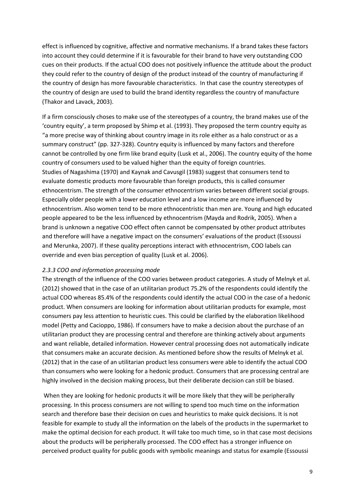effect is influenced by cognitive, affective and normative mechanisms. If a brand takes these factors into account they could determine if it is favourable for their brand to have very outstanding COO cues on their products. If the actual COO does not positively influence the attitude about the product they could refer to the country of design of the product instead of the country of manufacturing if the country of design has more favourable characteristics. In that case the country stereotypes of the country of design are used to build the brand identity regardless the country of manufacture (Thakor and Lavack, 2003).

If a firm consciously choses to make use of the stereotypes of a country, the brand makes use of the 'country equity', a term proposed by Shimp et al. (1993). They proposed the term country equity as "a more precise way of thinking about country image in its role either as a halo construct or as a summary construct" (pp. 327-328). Country equity is influenced by many factors and therefore cannot be controlled by one firm like brand equity (Lusk et al., 2006). The country equity of the home country of consumers used to be valued higher than the equity of foreign countries. Studies of Nagashima (1970) and Kaynak and Cavusgil (1983) suggest that consumers tend to evaluate domestic products more favourable than foreign products, this is called consumer ethnocentrism. The strength of the consumer ethnocentrism varies between different social groups. Especially older people with a lower education level and a low income are more influenced by ethnocentrism. Also women tend to be more ethnocentristic than men are. Young and high educated people appeared to be the less influenced by ethnocentrism (Mayda and Rodrik, 2005). When a brand is unknown a negative COO effect often cannot be compensated by other product attributes and therefore will have a negative impact on the consumers' evaluations of the product (Essoussi and Merunka, 2007). If these quality perceptions interact with ethnocentrism, COO labels can override and even bias perception of quality (Lusk et al. 2006).

#### <span id="page-8-0"></span>*2.3.3 COO and information processing mode*

The strength of the influence of the COO varies between product categories. A study of Melnyk et al. (2012) showed that in the case of an utilitarian product 75.2% of the respondents could identify the actual COO whereas 85.4% of the respondents could identify the actual COO in the case of a hedonic product. When consumers are looking for information about utilitarian products for example, most consumers pay less attention to heuristic cues. This could be clarified by the elaboration likelihood model (Petty and Cacioppo, 1986). If consumers have to make a decision about the purchase of an utilitarian product they are processing central and therefore are thinking actively about arguments and want reliable, detailed information. However central processing does not automatically indicate that consumers make an accurate decision. As mentioned before show the results of Melnyk et al. (2012) that in the case of an utilitarian product less consumers were able to identify the actual COO than consumers who were looking for a hedonic product. Consumers that are processing central are highly involved in the decision making process, but their deliberate decision can still be biased.

When they are looking for hedonic products it will be more likely that they will be peripherally processing. In this process consumers are not willing to spend too much time on the information search and therefore base their decision on cues and heuristics to make quick decisions. It is not feasible for example to study all the information on the labels of the products in the supermarket to make the optimal decision for each product. It will take too much time, so in that case most decisions about the products will be peripherally processed. The COO effect has a stronger influence on perceived product quality for public goods with symbolic meanings and status for example (Essoussi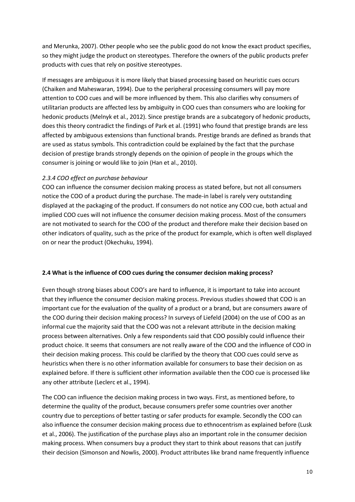and Merunka, 2007). Other people who see the public good do not know the exact product specifies, so they might judge the product on stereotypes. Therefore the owners of the public products prefer products with cues that rely on positive stereotypes.

If messages are ambiguous it is more likely that biased processing based on heuristic cues occurs (Chaiken and Maheswaran, 1994). Due to the peripheral processing consumers will pay more attention to COO cues and will be more influenced by them. This also clarifies why consumers of utilitarian products are affected less by ambiguity in COO cues than consumers who are looking for hedonic products (Melnyk et al., 2012). Since prestige brands are a subcategory of hedonic products, does this theory contradict the findings of Park et al. (1991) who found that prestige brands are less affected by ambiguous extensions than functional brands. Prestige brands are defined as brands that are used as status symbols. This contradiction could be explained by the fact that the purchase decision of prestige brands strongly depends on the opinion of people in the groups which the consumer is joining or would like to join (Han et al., 2010).

## <span id="page-9-0"></span>*2.3.4 COO effect on purchase behaviour*

COO can influence the consumer decision making process as stated before, but not all consumers notice the COO of a product during the purchase. The made-in label is rarely very outstanding displayed at the packaging of the product. If consumers do not notice any COO cue, both actual and implied COO cues will not influence the consumer decision making process. Most of the consumers are not motivated to search for the COO of the product and therefore make their decision based on other indicators of quality, such as the price of the product for example, which is often well displayed on or near the product (Okechuku, 1994).

## <span id="page-9-1"></span>**2.4 What is the influence of COO cues during the consumer decision making process?**

Even though strong biases about COO's are hard to influence, it is important to take into account that they influence the consumer decision making process. Previous studies showed that COO is an important cue for the evaluation of the quality of a product or a brand, but are consumers aware of the COO during their decision making process? In surveys of Liefeld (2004) on the use of COO as an informal cue the majority said that the COO was not a relevant attribute in the decision making process between alternatives. Only a few respondents said that COO possibly could influence their product choice. It seems that consumers are not really aware of the COO and the influence of COO in their decision making process. This could be clarified by the theory that COO cues could serve as heuristics when there is no other information available for consumers to base their decision on as explained before. If there is sufficient other information available then the COO cue is processed like any other attribute (Leclerc et al., 1994).

The COO can influence the decision making process in two ways. First, as mentioned before, to determine the quality of the product, because consumers prefer some countries over another country due to perceptions of better tasting or safer products for example. Secondly the COO can also influence the consumer decision making process due to ethnocentrism as explained before (Lusk et al., 2006). The justification of the purchase plays also an important role in the consumer decision making process. When consumers buy a product they start to think about reasons that can justify their decision (Simonson and Nowlis, 2000). Product attributes like brand name frequently influence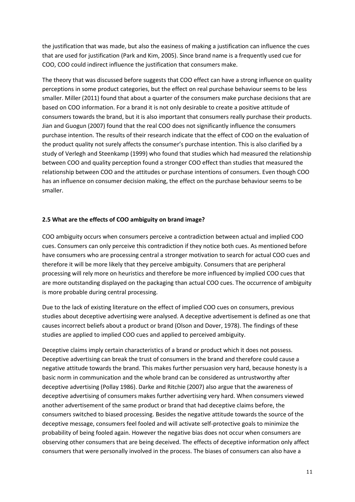the justification that was made, but also the easiness of making a justification can influence the cues that are used for justification (Park and Kim, 2005). Since brand name is a frequently used cue for COO, COO could indirect influence the justification that consumers make.

The theory that was discussed before suggests that COO effect can have a strong influence on quality perceptions in some product categories, but the effect on real purchase behaviour seems to be less smaller. Miller (2011) found that about a quarter of the consumers make purchase decisions that are based on COO information. For a brand it is not only desirable to create a positive attitude of consumers towards the brand, but it is also important that consumers really purchase their products. Jian and Guogun (2007) found that the real COO does not significantly influence the consumers purchase intention. The results of their research indicate that the effect of COO on the evaluation of the product quality not surely affects the consumer's purchase intention. This is also clarified by a study of Verlegh and Steenkamp (1999) who found that studies which had measured the relationship between COO and quality perception found a stronger COO effect than studies that measured the relationship between COO and the attitudes or purchase intentions of consumers. Even though COO has an influence on consumer decision making, the effect on the purchase behaviour seems to be smaller.

#### <span id="page-10-0"></span>**2.5 What are the effects of COO ambiguity on brand image?**

COO ambiguity occurs when consumers perceive a contradiction between actual and implied COO cues. Consumers can only perceive this contradiction if they notice both cues. As mentioned before have consumers who are processing central a stronger motivation to search for actual COO cues and therefore it will be more likely that they perceive ambiguity. Consumers that are peripheral processing will rely more on heuristics and therefore be more influenced by implied COO cues that are more outstanding displayed on the packaging than actual COO cues. The occurrence of ambiguity is more probable during central processing.

Due to the lack of existing literature on the effect of implied COO cues on consumers, previous studies about deceptive advertising were analysed. A deceptive advertisement is defined as one that causes incorrect beliefs about a product or brand (Olson and Dover, 1978). The findings of these studies are applied to implied COO cues and applied to perceived ambiguity.

Deceptive claims imply certain characteristics of a brand or product which it does not possess. Deceptive advertising can break the trust of consumers in the brand and therefore could cause a negative attitude towards the brand. This makes further persuasion very hard, because honesty is a basic norm in communication and the whole brand can be considered as untrustworthy after deceptive advertising (Pollay 1986). Darke and Ritchie (2007) also argue that the awareness of deceptive advertising of consumers makes further advertising very hard. When consumers viewed another advertisement of the same product or brand that had deceptive claims before, the consumers switched to biased processing. Besides the negative attitude towards the source of the deceptive message, consumers feel fooled and will activate self-protective goals to minimize the probability of being fooled again. However the negative bias does not occur when consumers are observing other consumers that are being deceived. The effects of deceptive information only affect consumers that were personally involved in the process. The biases of consumers can also have a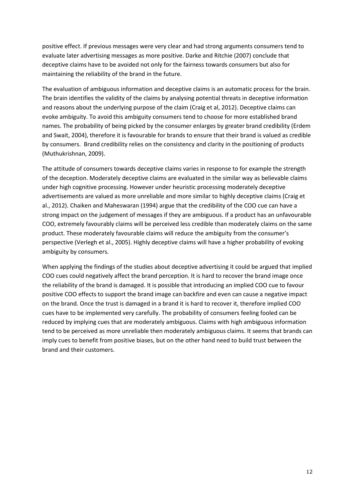positive effect. If previous messages were very clear and had strong arguments consumers tend to evaluate later advertising messages as more positive. Darke and Ritchie (2007) conclude that deceptive claims have to be avoided not only for the fairness towards consumers but also for maintaining the reliability of the brand in the future.

The evaluation of ambiguous information and deceptive claims is an automatic process for the brain. The brain identifies the validity of the claims by analysing potential threats in deceptive information and reasons about the underlying purpose of the claim (Craig et al, 2012). Deceptive claims can evoke ambiguity. To avoid this ambiguity consumers tend to choose for more established brand names. The probability of being picked by the consumer enlarges by greater brand credibility (Erdem and Swait, 2004), therefore it is favourable for brands to ensure that their brand is valued as credible by consumers. Brand credibility relies on the consistency and clarity in the positioning of products (Muthukrishnan, 2009).

The attitude of consumers towards deceptive claims varies in response to for example the strength of the deception. Moderately deceptive claims are evaluated in the similar way as believable claims under high cognitive processing. However under heuristic processing moderately deceptive advertisements are valued as more unreliable and more similar to highly deceptive claims (Craig et al., 2012). Chaiken and Maheswaran (1994) argue that the credibility of the COO cue can have a strong impact on the judgement of messages if they are ambiguous. If a product has an unfavourable COO, extremely favourably claims will be perceived less credible than moderately claims on the same product. These moderately favourable claims will reduce the ambiguity from the consumer's perspective (Verlegh et al., 2005). Highly deceptive claims will have a higher probability of evoking ambiguity by consumers.

When applying the findings of the studies about deceptive advertising it could be argued that implied COO cues could negatively affect the brand perception. It is hard to recover the brand image once the reliability of the brand is damaged. It is possible that introducing an implied COO cue to favour positive COO effects to support the brand image can backfire and even can cause a negative impact on the brand. Once the trust is damaged in a brand it is hard to recover it, therefore implied COO cues have to be implemented very carefully. The probability of consumers feeling fooled can be reduced by implying cues that are moderately ambiguous. Claims with high ambiguous information tend to be perceived as more unreliable then moderately ambiguous claims. It seems that brands can imply cues to benefit from positive biases, but on the other hand need to build trust between the brand and their customers.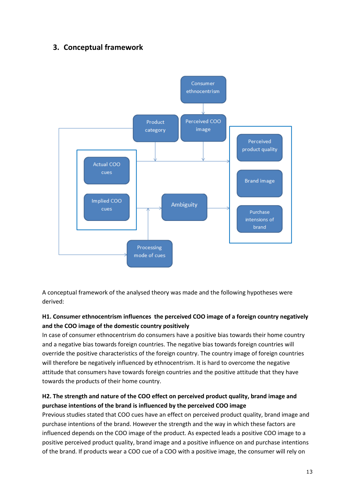# <span id="page-12-0"></span>**3. Conceptual framework**



A conceptual framework of the analysed theory was made and the following hypotheses were derived:

## <span id="page-12-1"></span>**H1. Consumer ethnocentrism influences the perceived COO image of a foreign country negatively and the COO image of the domestic country positively**

In case of consumer ethnocentrism do consumers have a positive bias towards their home country and a negative bias towards foreign countries. The negative bias towards foreign countries will override the positive characteristics of the foreign country. The country image of foreign countries will therefore be negatively influenced by ethnocentrism. It is hard to overcome the negative attitude that consumers have towards foreign countries and the positive attitude that they have towards the products of their home country.

## <span id="page-12-2"></span>**H2. The strength and nature of the COO effect on perceived product quality, brand image and purchase intentions of the brand is influenced by the perceived COO image**

Previous studies stated that COO cues have an effect on perceived product quality, brand image and purchase intentions of the brand. However the strength and the way in which these factors are influenced depends on the COO image of the product. As expected leads a positive COO image to a positive perceived product quality, brand image and a positive influence on and purchase intentions of the brand. If products wear a COO cue of a COO with a positive image, the consumer will rely on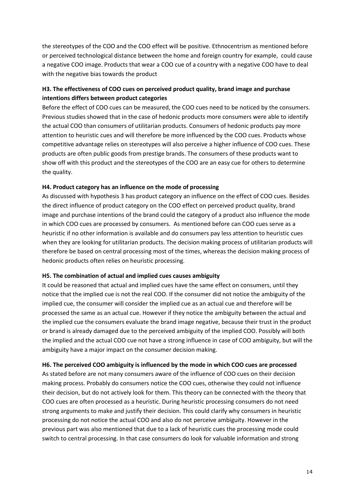the stereotypes of the COO and the COO effect will be positive. Ethnocentrism as mentioned before or perceived technological distance between the home and foreign country for example, could cause a negative COO image. Products that wear a COO cue of a country with a negative COO have to deal with the negative bias towards the product

## <span id="page-13-0"></span>**H3. The effectiveness of COO cues on perceived product quality, brand image and purchase intentions differs between product categories**

Before the effect of COO cues can be measured, the COO cues need to be noticed by the consumers. Previous studies showed that in the case of hedonic products more consumers were able to identify the actual COO than consumers of utilitarian products. Consumers of hedonic products pay more attention to heuristic cues and will therefore be more influenced by the COO cues. Products whose competitive advantage relies on stereotypes will also perceive a higher influence of COO cues. These products are often public goods from prestige brands. The consumers of these products want to show off with this product and the stereotypes of the COO are an easy cue for others to determine the quality.

## <span id="page-13-1"></span>**H4. Product category has an influence on the mode of processing**

As discussed with hypothesis 3 has product category an influence on the effect of COO cues. Besides the direct influence of product category on the COO effect on perceived product quality, brand image and purchase intentions of the brand could the category of a product also influence the mode in which COO cues are processed by consumers. As mentioned before can COO cues serve as a heuristic if no other information is available and do consumers pay less attention to heuristic cues when they are looking for utilitarian products. The decision making process of utilitarian products will therefore be based on central processing most of the times, whereas the decision making process of hedonic products often relies on heuristic processing.

#### <span id="page-13-2"></span>**H5. The combination of actual and implied cues causes ambiguity**

It could be reasoned that actual and implied cues have the same effect on consumers, until they notice that the implied cue is not the real COO. If the consumer did not notice the ambiguity of the implied cue, the consumer will consider the implied cue as an actual cue and therefore will be processed the same as an actual cue. However if they notice the ambiguity between the actual and the implied cue the consumers evaluate the brand image negative, because their trust in the product or brand is already damaged due to the perceived ambiguity of the implied COO. Possibly will both the implied and the actual COO cue not have a strong influence in case of COO ambiguity, but will the ambiguity have a major impact on the consumer decision making.

## <span id="page-13-3"></span>**H6. The perceived COO ambiguity is influenced by the mode in which COO cues are processed**

As stated before are not many consumers aware of the influence of COO cues on their decision making process. Probably do consumers notice the COO cues, otherwise they could not influence their decision, but do not actively look for them. This theory can be connected with the theory that COO cues are often processed as a heuristic. During heuristic processing consumers do not need strong arguments to make and justify their decision. This could clarify why consumers in heuristic processing do not notice the actual COO and also do not perceive ambiguity. However in the previous part was also mentioned that due to a lack of heuristic cues the processing mode could switch to central processing. In that case consumers do look for valuable information and strong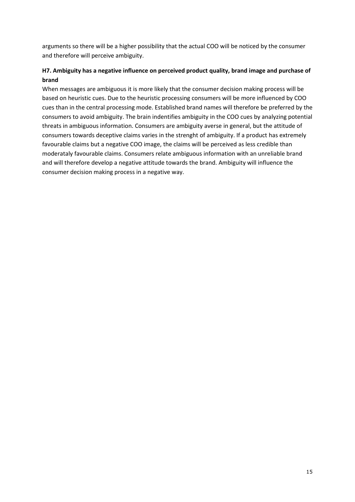arguments so there will be a higher possibility that the actual COO will be noticed by the consumer and therefore will perceive ambiguity.

## <span id="page-14-0"></span>**H7. Ambiguity has a negative influence on perceived product quality, brand image and purchase of brand**

When messages are ambiguous it is more likely that the consumer decision making process will be based on heuristic cues. Due to the heuristic processing consumers will be more influenced by COO cues than in the central processing mode. Established brand names will therefore be preferred by the consumers to avoid ambiguity. The brain indentifies ambiguity in the COO cues by analyzing potential threats in ambiguous information. Consumers are ambiguity averse in general, but the attitude of consumers towards deceptive claims varies in the strenght of ambiguity. If a product has extremely favourable claims but a negative COO image, the claims will be perceived as less credible than moderataly favourable claims. Consumers relate ambiguous information with an unreliable brand and will therefore develop a negative attitude towards the brand. Ambiguity will influence the consumer decision making process in a negative way.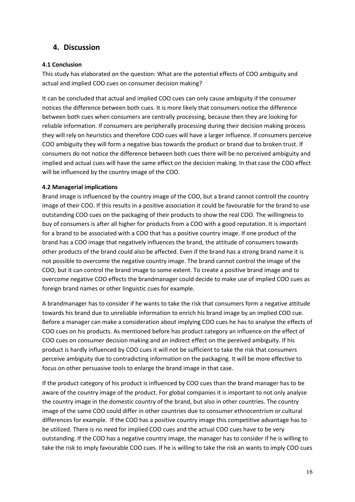# <span id="page-15-0"></span>**4. Discussion**

## <span id="page-15-1"></span>**4.1 Conclusion**

This study has elaborated on the question: What are the potential effects of COO ambiguity and actual and implied COO cues on consumer decision making?

It can be concluded that actual and implied COO cues can only cause ambiguity if the consumer notices the difference between both cues. It is more likely that consumers notice the difference between both cues when consumers are centrally processing, because then they are looking for reliable information. If consumers are peripherally processing during their decision making process they will rely on heuristics and therefore COO cues will have a larger influence. If consumers perceive COO ambiguity they will form a negative bias towards the product or brand due to broken trust. If consumers do not notice the difference between both cues there will be no perceived ambiguity and implied and actual cues will have the same effect on the decision making. In that case the COO effect will be influenced by the country image of the COO.

## <span id="page-15-2"></span>**4.2 Managerial implications**

Brand image is influenced by the country image of the COO, but a brand cannot controll the country image of their COO. If this results in a positive association it could be favourable for the brand to use outstanding COO cues on the packaging of their products to show the real COO. The willingness to buy of consumers is after all higher for products from a COO with a good reputation. It is important for a brand to be associated with a COO that has a positive country image. If one product of the brand has a COO image that negatively influences the brand, the attitude of consumers towards other products of the brand could also be affected. Even if the brand has a strong brand name it is not possible to overcome the negative country image. The brand cannot control the image of the COO, but it can control the brand image to some extent. To create a positive brand image and to overcome negative COO effects the brandmanager could decide to make use of implied COO cues as foreign brand names or other linguistic cues for example.

A brandmanager has to consider if he wants to take the risk that consumers form a negative attitude towards his brand due to unreliable information to enrich his brand image by an implied COO cue. Before a manager can make a consideration about implying COO cues he has to analyse the effects of COO cues on his products. As mentioned before has product category an influence on the effect of COO cues on consumer decision making and an indirect effect on the pereived ambiguity. If his product is hardly influenced by COO cues it will not be sufficient to take the risk that consumers perceive ambiguity due to contradicting information on the packaging. It will be more effective to focus on other persuasive tools to enlarge the brand image in that case.

If the product category of his product is influenced by COO cues than the brand manager has to be aware of the country image of the product. For global companies it is important to not only analyse the country image in the domestic country of the brand, but also in other countries. The country image of the same COO could differ in other countries due to consumer ethnocentrism or cultural differences for example. If the COO has a positive country image this competitive advantage has to be utilized. There is no need for implied COO cues and the actual COO cues have to be very outstanding. If the COO has a negative country image, the manager has to consider if he is willing to take the risk to imply favourable COO cues. If he is willing to take the risk an wants to imply COO cues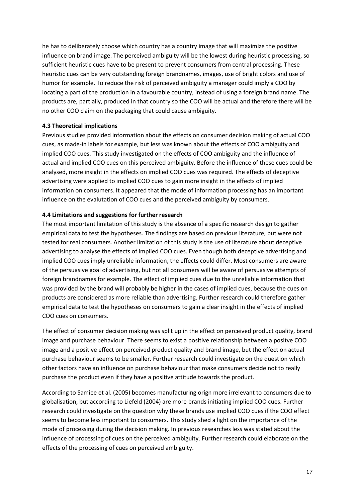he has to deliberately choose which country has a country image that will maximize the positive influence on brand image. The perceived ambiguity will be the lowest during heuristic processing, so sufficient heuristic cues have to be present to prevent consumers from central processing. These heuristic cues can be very outstanding foreign brandnames, images, use of bright colors and use of humor for example. To reduce the risk of perceived ambiguity a manager could imply a COO by locating a part of the production in a favourable country, instead of using a foreign brand name. The products are, partially, produced in that country so the COO will be actual and therefore there will be no other COO claim on the packaging that could cause ambiguity.

#### <span id="page-16-0"></span>**4.3 Theoretical implications**

Previous studies provided information about the effects on consumer decision making of actual COO cues, as made-in labels for example, but less was known about the effects of COO ambiguity and implied COO cues. This study investigated on the effects of COO ambiguity and the influence of actual and implied COO cues on this perceived ambiguity. Before the influence of these cues could be analysed, more insight in the effects on implied COO cues was required. The effects of deceptive advertising were applied to implied COO cues to gain more insight in the effects of implied information on consumers. It appeared that the mode of information processing has an important influence on the evalutation of COO cues and the perceived ambiguity by consumers.

## <span id="page-16-1"></span>**4.4 Limitations and suggestions for further research**

The most important limitation of this study is the absence of a specific research design to gather empirical data to test the hypotheses. The findings are based on previous literature, but were not tested for real consumers. Another limitation of this study is the use of literature about deceptive advertising to analyse the effects of implied COO cues. Even though both deceptive advertising and implied COO cues imply unreliable information, the effects could differ. Most consumers are aware of the persuasive goal of advertising, but not all consumers will be aware of persuasive attempts of foreign brandnames for example. The effect of implied cues due to the unreliable information that was provided by the brand will probably be higher in the cases of implied cues, because the cues on products are considered as more reliable than advertising. Further research could therefore gather empirical data to test the hypotheses on consumers to gain a clear insight in the effects of implied COO cues on consumers.

The effect of consumer decision making was split up in the effect on perceived product quality, brand image and purchase behaviour. There seems to exist a positive relationship between a positve COO image and a positive effect on perceived product quality and brand image, but the effect on actual purchase behaviour seems to be smaller. Further research could investigate on the question which other factors have an influence on purchase behaviour that make consumers decide not to really purchase the product even if they have a positive attitude towards the product.

According to Samiee et al. (2005) becomes manufacturing orign more irrelevant to consumers due to globalisation, but according to Liefeld (2004) are more brands initiating implied COO cues. Further research could investigate on the question why these brands use implied COO cues if the COO effect seems to become less important to consumers. This study shed a light on the importance of the mode of processing during the decision making. In previous researches less was stated about the influence of processing of cues on the perceived ambiguity. Further research could elaborate on the effects of the processing of cues on perceived ambiguity.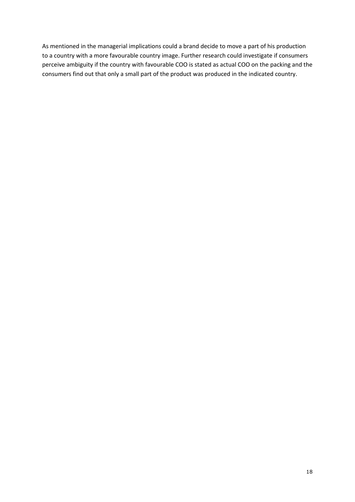As mentioned in the managerial implications could a brand decide to move a part of his production to a country with a more favourable country image. Further research could investigate if consumers perceive ambiguity if the country with favourable COO is stated as actual COO on the packing and the consumers find out that only a small part of the product was produced in the indicated country.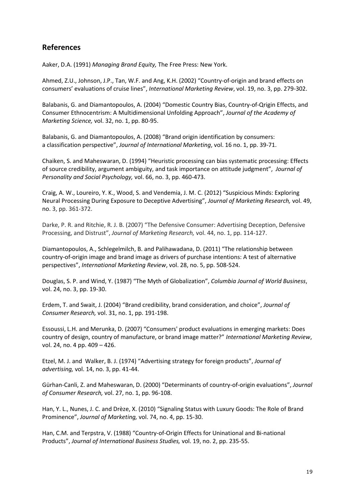# <span id="page-18-0"></span>**References**

Aaker, D.A. (1991) *Managing Brand Equity,* The Free Press: New York.

Ahmed, Z.U., Johnson, J.P., Tan, W.F. and Ang, K.H. (2002) "Country-of-origin and brand effects on consumers' evaluations of cruise lines", *International Marketing Review*, vol. 19, no. 3, pp. 279-302.

Balabanis, G. and Diamantopoulos, A. (2004) "Domestic Country Bias, Country-of-Qrigin Effects, and Consumer Ethnocentrism: A Multidimensional Unfolding Approach", *Journal of the Academy of Marketing Science,* vol. 32, no. 1, pp. 80-95.

Balabanis, G. and Diamantopoulos, A. (2008) "Brand origin identification by consumers: a classification perspective", *Journal of International Marketing*, vol. 16 no. 1, pp. 39-71.

Chaiken, S. and Maheswaran, D. (1994) "Heuristic processing can bias systematic processing: Effects of source credibility, argument ambiguity, and task importance on attitude judgment", *Journal of Personality and Social Psychology,* vol. 66, no. 3, pp. 460-473.

Craig, A. W., Loureiro, Y. K., Wood, S. and Vendemia, J. M. C. (2012) "Suspicious Minds: Exploring Neural Processing During Exposure to Deceptive Advertising", *Journal of Marketing Research,* vol. 49, no. 3, pp. 361-372.

Darke, P. R. and Ritchie, R. J. B. (2007) "The Defensive Consumer: Advertising Deception, Defensive Processing, and Distrust", *Journal of Marketing Research,* vol. 44, no. 1, pp. 114-127.

Diamantopoulos, A., Schlegelmilch, B. and Palihawadana, D. (2011) "The relationship between country-of-origin image and brand image as drivers of purchase intentions: A test of alternative perspectives", *International Marketing Review*, vol. 28, no. 5, pp. 508-524.

Douglas, S. P. and Wind, Y. (1987) "The Myth of Globalization", *Columbia Journal of World Business*, vol. 24, no. 3, pp. 19-30.

Erdem, T. and Swait, J. (2004) "Brand credibility, brand consideration, and choice", *Journal of Consumer Research,* vol. 31, no. 1, pp. 191-198.

Essoussi, L.H. and Merunka, D. (2007) "Consumers' product evaluations in emerging markets: Does country of design, country of manufacture, or brand image matter?" *International Marketing Review*, vol. 24, no. 4 pp. 409 – 426.

Etzel, M. J. and Walker, B. J. (1974) "Advertising strategy for foreign products", *Journal of advertising,* vol. 14, no. 3, pp. 41-44.

Gürhan-Canli, Z. and Maheswaran, D. (2000) "Determinants of country-of-origin evaluations", *Journal of Consumer Research,* vol. 27, no. 1, pp. 96-108.

Han, Y. L., Nunes, J. C. and Drèze, X. (2010) "Signaling Status with Luxury Goods: The Role of Brand Prominence", *Journal of Marketing,* vol. 74, no. 4, pp. 15-30.

Han, C.M. and Terpstra, V. (1988) "Country-of-Origin Effects for Uninational and Bi-national Products", *Journal of International Business Studies,* vol. 19, no. 2, pp. 235-55.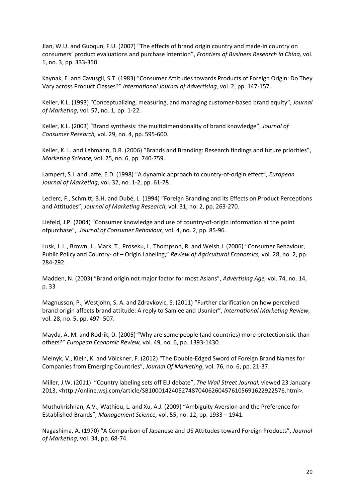Jian, W.U. and Guoqun, F.U. (2007) "The effects of brand origin country and made-in country on consumers' product evaluations and purchase intention", *Frontiers of Business Research in China,* vol. 1, no. 3, pp. 333-350.

Kaynak, E. and Cavusgil, S.T. (1983) "Consumer Attitudes towards Products of Foreign Origin: Do They Vary across Product Classes?" *International Journal of Advertising,* vol. 2, pp. 147-157.

Keller, K.L. (1993) "Conceptualizing, measuring, and managing customer-based brand equity", *Journal of Marketing,* vol. 57, no. 1, pp. 1-22.

Keller, K.L. (2003) "Brand synthesis: the multidimensionality of brand knowledge", *Journal of Consumer Research,* vol. 29, no. 4, pp. 595-600.

Keller, K. L. and Lehmann, D.R. (2006) "Brands and Branding: Research findings and future priorities", *Marketing Science,* vol. 25, no. 6, pp. 740-759.

Lampert, S.I. and Jaffe, E.D. (1998) "A dynamic approach to country-of-origin effect", *European Journal of Marketing*, vol. 32, no. 1-2, pp. 61-78.

Leclerc, F., Schmitt, B.H. and Dubé, L. (1994) "Foreign Branding and its Effects on Product Perceptions and Attitudes", *Journal of Marketing Research*, vol. 31, no. 2, pp. 263-270.

Liefeld, J.P. (2004) "Consumer knowledge and use of country-of-origin information at the point ofpurchase", *Journal of Consumer Behaviour*, vol. 4, no. 2, pp. 85-96.

Lusk, J. L., Brown, J., Mark, T., Proseku, I., Thompson, R. and Welsh J. (2006) "Consumer Behaviour, Public Policy and Country- of – Origin Labeling," *Review of Agricultural Economics,* vol. 28, no. 2, pp. 284-292.

Madden, N. (2003) "Brand origin not major factor for most Asians", *Advertising Age,* vol. 74, no. 14, p. 33

Magnusson, P., Westjohn, S. A. and Zdravkovic, S. (2011) "Further clarification on how perceived brand origin affects brand attitude: A reply to Samiee and Usunier", *International Marketing Review*, vol. 28, no. 5, pp. 497- 507.

Mayda, A. M. and Rodrik, D. (2005) "Why are some people (and countries) more protectionistic than others?" *European Economic Review,* vol. 49, no. 6, pp. 1393-1430.

Melnyk, V., Klein, K. and Völckner, F. (2012) "The Double-Edged Sword of Foreign Brand Names for Companies from Emerging Countries", *Journal Of Marketing*, vol. 76, no. 6, pp. 21-37.

Miller, J.W. (2011) "Country labeling sets off EU debate", *The Wall Street Journal,* viewed 23 January 2013, <http://online.wsj.com/article/SB10001424052748704062604576105691622922576.html>.

Muthukrishnan, A.V., Wathieu, L. and Xu, A.J. (2009) "Ambiguity Aversion and the Preference for Established Brands", *Management Science,* vol. 55, no. 12, pp. 1933 – 1941.

Nagashima, A. (1970) "A Comparison of Japanese and US Attitudes toward Foreign Products", *Journal of Marketing,* vol. 34, pp. 68-74.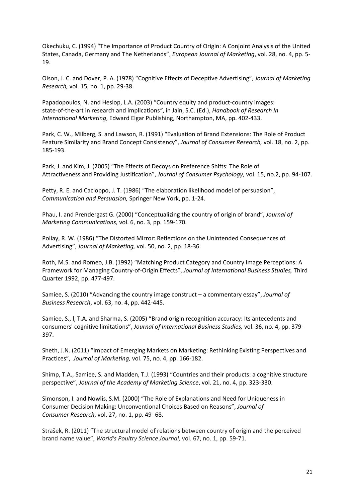Okechuku, C. (1994) "The Importance of Product Country of Origin: A Conjoint Analysis of the United States, Canada, Germany and The Netherlands", *European Journal of Marketing*, vol. 28, no. 4, pp. 5- 19.

Olson, J. C. and Dover, P. A. (1978) "Cognitive Effects of Deceptive Advertising", *Journal of Marketing Research,* vol. 15, no. 1, pp. 29-38.

Papadopoulos, N. and Heslop, L.A. (2003) "Country equity and product-country images: state-of-the-art in research and implications*"*, in Jain, S.C. (Ed.), *Handbook of Research In International Marketing*, Edward Elgar Publishing, Northampton, MA, pp. 402-433.

Park, C. W., Milberg, S. and Lawson, R. (1991) "Evaluation of Brand Extensions: The Role of Product Feature Similarity and Brand Concept Consistency", *Journal of Consumer Research,* vol. 18, no. 2, pp. 185-193.

Park, J. and Kim, J. (2005) "The Effects of Decoys on Preference Shifts: The Role of Attractiveness and Providing Justification", *Journal of Consumer Psychology*, vol. 15, no.2, pp. 94-107.

Petty, R. E. and Cacioppo, J. T. (1986) "The elaboration likelihood model of persuasion", *Communication and Persuasion,* Springer New York, pp. 1-24.

Phau, I. and Prendergast G. (2000) "Conceptualizing the country of origin of brand", *Journal of Marketing Communications,* vol. 6, no. 3, pp. 159-170.

Pollay, R. W. (1986) "The Distorted Mirror: Reflections on the Unintended Consequences of Advertising", *Journal of Marketing,* vol. 50, no. 2, pp. 18-36.

Roth, M.S. and Romeo, J.B. (1992) "Matching Product Category and Country Image Perceptions: A Framework for Managing Country-of-Origin Effects", *Journal of International Business Studies,* Third Quarter 1992, pp. 477-497.

Samiee, S. (2010) "Advancing the country image construct – a commentary essay", *Journal of Business Research*, vol. 63, no. 4, pp. 442-445.

Samiee, S., l, T.A. and Sharma, S. (2005) "Brand origin recognition accuracy: Its antecedents and consumers' cognitive limitations", *Journal of International Business Studies,* vol. 36, no. 4, pp. 379- 397.

Sheth, J.N. (2011) "Impact of Emerging Markets on Marketing: Rethinking Existing Perspectives and Practices", *Journal of Marketing,* vol. 75, no. 4, pp. 166-182.

Shimp, T.A., Samiee, S. and Madden, T.J. (1993) "Countries and their products: a cognitive structure perspective", *Journal of the Academy of Marketing Science*, vol. 21, no. 4, pp. 323-330.

Simonson, I. and Nowlis, S.M. (2000) "The Role of Explanations and Need for Uniqueness in Consumer Decision Making: Unconventional Choices Based on Reasons", *Journal of Consumer Research*, vol. 27, no. 1, pp. 49- 68.

Strašek, R. (2011) "The structural model of relations between country of origin and the perceived brand name value", *World's Poultry Science Journal,* vol. 67, no. 1, pp. 59-71.